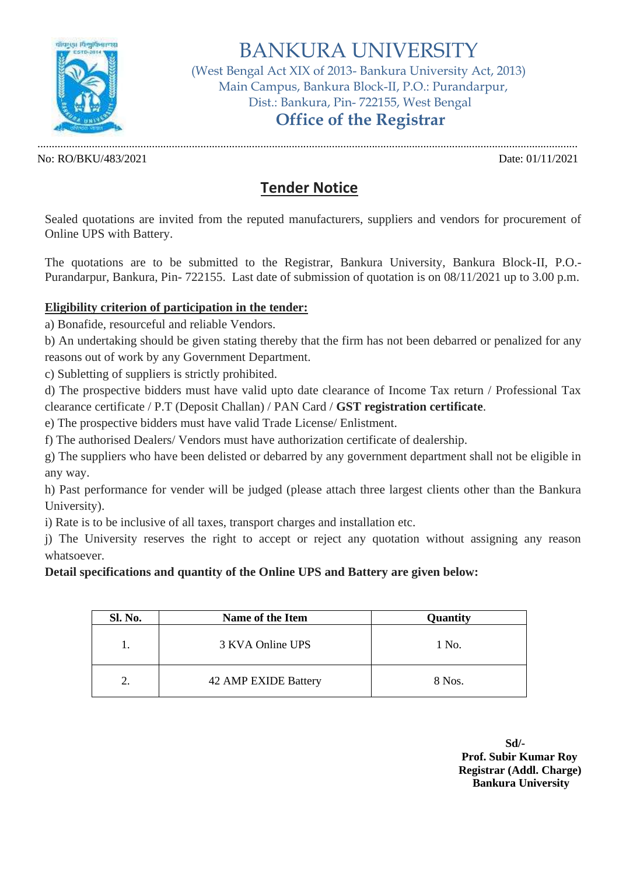

# BANKURA UNIVERSITY

(West Bengal Act XIX of 2013- Bankura University Act, 2013) Main Campus, Bankura Block-II, P.O.: Purandarpur, Dist.: Bankura, Pin- 722155, West Bengal

## **Office of the Registrar**

No: RO/BKU/483/2021 Date: 01/11/2021

.............................................................................................................................................................................................

## **Tender Notice**

Sealed quotations are invited from the reputed manufacturers, suppliers and vendors for procurement of Online UPS with Battery.

The quotations are to be submitted to the Registrar, Bankura University, Bankura Block-II, P.O.- Purandarpur, Bankura, Pin- 722155. Last date of submission of quotation is on 08/11/2021 up to 3.00 p.m.

#### **Eligibility criterion of participation in the tender:**

a) Bonafide, resourceful and reliable Vendors.

b) An undertaking should be given stating thereby that the firm has not been debarred or penalized for any reasons out of work by any Government Department.

c) Subletting of suppliers is strictly prohibited.

d) The prospective bidders must have valid upto date clearance of Income Tax return / Professional Tax clearance certificate / P.T (Deposit Challan) / PAN Card / **GST registration certificate**.

e) The prospective bidders must have valid Trade License/ Enlistment.

f) The authorised Dealers/ Vendors must have authorization certificate of dealership.

g) The suppliers who have been delisted or debarred by any government department shall not be eligible in any way.

h) Past performance for vender will be judged (please attach three largest clients other than the Bankura University).

i) Rate is to be inclusive of all taxes, transport charges and installation etc.

j) The University reserves the right to accept or reject any quotation without assigning any reason whatsoever.

#### **Detail specifications and quantity of the Online UPS and Battery are given below:**

| <b>Sl. No.</b> | Name of the Item     | Quantity |
|----------------|----------------------|----------|
|                | 3 KVA Online UPS     | 1 No.    |
|                | 42 AMP EXIDE Battery | 8 Nos.   |

**Sd/- Prof. Subir Kumar Roy Registrar (Addl. Charge) Bankura University**